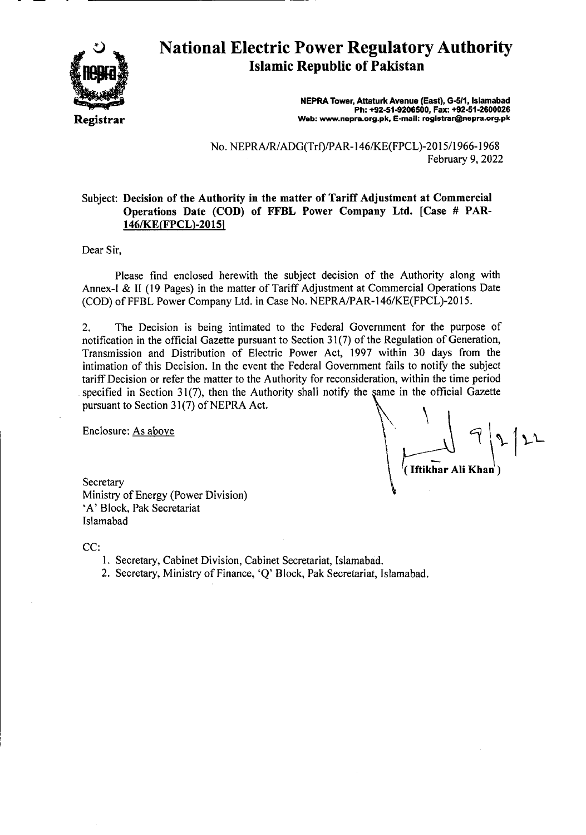

# **National Electric Power Regulatory Authority Islamic Republic of Pakistan**

**NEPRA Tower, Attaturk Avenue (East), G-5!1, Islamabad Ph: +92-51.9206500, Fax: +92-51-2600026 Web: www.nepra.org.pk, E-mail: registrar@nepra.org.pk** 

No. NEPRA/R/ADG(Trf)/PAR- 146/KE(FPCL)-20 15/1966-1968 February 9, 2022

#### Subject: **Decision of the Authority in the matter** of Tariff **Adjustment at Commercial Operations Date (COD) of FFBL** Power Company Ltd. **[Case** # **PAR**-**1461KE(FPCL)-2015j**

Dear Sir,

Please find enclosed herewith the subject decision of the Authority along with Annex-I & II (19 Pages) in the matter of Tariff Adjustment at Commercial Operations Date (COD) of FFBL Power Company Ltd. in Case No. NEPRA/PAR-146/KE(FPCL)-2015.

2. The Decision is being intimated to the Federal Government for the purpose of notification in the official Gazette pursuant to Section 31(7) of the Regulation of Generation, Transmission and Distribution of Electric Power Act, 1997 within 30 days from the intimation of this Decision. In the event the Federal Government fails to notify the subject tariff Decision or refer the matter to the Authority for reconsideration, within the time period specified in Section  $31(7)$ , then the Authority shall notify the same in the official Gazette pursuant to Section 31(7) of NEPRA Act.

Enclosure: As above

**(Iftikhar Ali Khan**)

**Secretary** Ministry of Energy (Power Division) 'A' Block, Pak Secretariat Islamabad

CC:

- 1. Secretary, Cabinet Division, Cabinet Secretariat, Islamabad.
- 2. Secretary, Ministry of Finance, 'Q' Block, Pak Secretariat, Islamabad.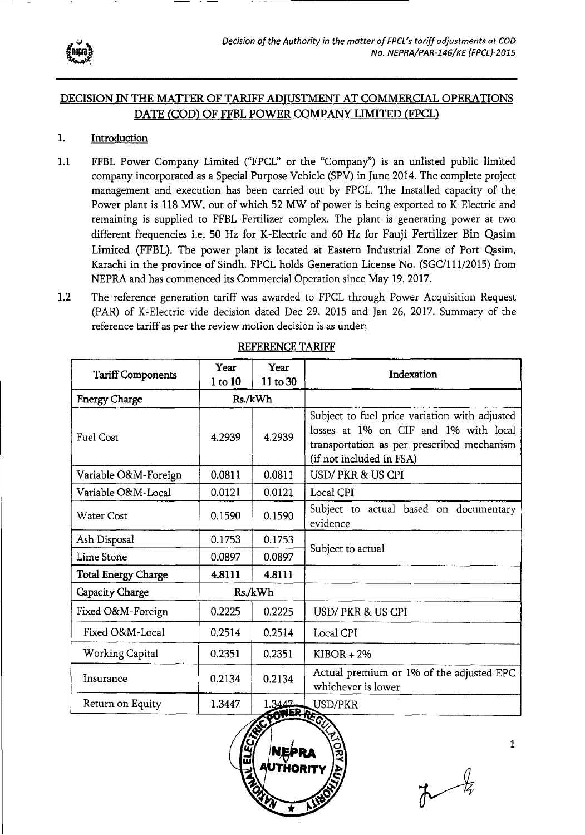

# DECISION IN THE MATFER OF TARIFF ADJUSTMENT AT COMMERCIAL OPERATIONS DATE (COD) OF FFBL POWER COMPANY LIMITED (FPCL)

### 1. Introduction

- 1.1 FFBL Power Company Limited ("FPCL" or the "Company") is an unlisted public limited company incorporated as a Special Purpose Vehicle (SPV) in June 2014. The complete project management and execution has been carried out by FPCL. The Installed capacity of the Power plant is 118 MW, out of which 52 MW of power is being exported to K-Electric and remaining is supplied to FFBL Fertilizer complex. The plant is generating power at two different frequencies i.e. 50 Hz for K-Electric and 60 Hz for Fauji Fertilizer Bin Qasim Limited (FFBL). The power plant is located at Eastern Industrial Zone of Port Qasim, Karachi in the province of Sindh. FPCL holds Generation License No. (SGC/111/2015) from NEPRA and has commenced its Commercial Operation since May 19, 2017.
- 1.2 The reference generation tariff was awarded to FPCL through Power Acquisition Request (PAR) of K-Electric vide decision dated Dec 29, 2015 and Jan 26, 2017. Summary of the reference tariff as per the review motion decision is as under;

|                            | Year    | Year               | Indexation                                                                                                                                                       |
|----------------------------|---------|--------------------|------------------------------------------------------------------------------------------------------------------------------------------------------------------|
| <b>Tariff Components</b>   | 1 to 10 | 11 to 30           |                                                                                                                                                                  |
| <b>Energy Charge</b>       |         | Rs./kWh            |                                                                                                                                                                  |
| <b>Fuel Cost</b>           | 4.2939  | 4.2939             | Subject to fuel price variation with adjusted<br>losses at 1% on CIF and 1% with local<br>transportation as per prescribed mechanism<br>(if not included in FSA) |
| Variable O&M-Foreign       | 0.0811  | 0.0811             | USD/PKR & US CPI                                                                                                                                                 |
| Variable O&M-Local         | 0.0121  | 0.0121             | Local CPI                                                                                                                                                        |
| <b>Water Cost</b>          | 0.1590  | 0.1590             | Subject to actual based on documentary<br>evidence                                                                                                               |
| Ash Disposal               | 0.1753  | 0.1753             |                                                                                                                                                                  |
| Lime Stone                 | 0.0897  | 0.0897             | Subject to actual                                                                                                                                                |
| <b>Total Energy Charge</b> | 4.8111  | 4.8111             |                                                                                                                                                                  |
| Capacity Charge            |         | Rs./kWh            |                                                                                                                                                                  |
| Fixed O&M-Foreign          | 0.2225  | 0.2225             | USD/PKR & US CPI                                                                                                                                                 |
| Fixed O&M-Local            | 0.2514  | 0.2514             | Local CPI                                                                                                                                                        |
| <b>Working Capital</b>     | 0.2351  | 0.2351             | $KIBOR + 2\%$                                                                                                                                                    |
| Insurance                  | 0.2134  | 0.2134             | Actual premium or 1% of the adjusted EPC<br>whichever is lower                                                                                                   |
| Return on Equity           | 1.3447  | $\frac{1.3442}{5}$ | USD/PKR                                                                                                                                                          |

REFERENCE TARIFF



 $\overline{A}$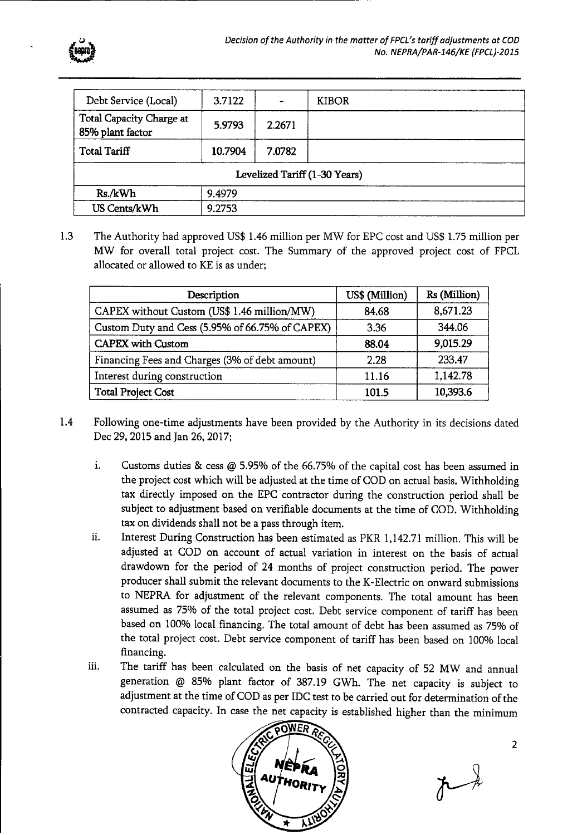

| Debt Service (Local)                         | 3.7122  | $\bullet$ | <b>KIBOR</b>                  |
|----------------------------------------------|---------|-----------|-------------------------------|
| Total Capacity Charge at<br>85% plant factor | 5.9793  | 2.2671    |                               |
| <b>Total Tariff</b>                          | 10.7904 | 7.0782    |                               |
|                                              |         |           | Levelized Tariff (1-30 Years) |
| Rs./kWh                                      | 9.4979  |           |                               |
| US Cents/kWh                                 | 9.2753  |           |                               |

1.3 The Authority had approved US\$ 1.46 million per MW for EPC cost and US\$ 1.75 million per MW for overall total project cost. The Summary of the approved project cost of FPCL allocated or allowed to KE is as under;

| Description                                     | US\$ (Million) | Rs (Million) |
|-------------------------------------------------|----------------|--------------|
| CAPEX without Custom (US\$ 1.46 million/MW)     | 84.68          | 8,671.23     |
| Custom Duty and Cess (5.95% of 66.75% of CAPEX) | 3.36           | 344.06       |
| <b>CAPEX</b> with Custom                        | 88.04          | 9,015.29     |
| Financing Fees and Charges (3% of debt amount)  | 2.28           | 233.47       |
| Interest during construction                    | 11.16          | 1,142.78     |
| <b>Total Project Cost</b>                       | 101.5          | 10,393.6     |

- 1.4 Following one-time adjustments have been provided by the Authority in its decisions dated Dec 29, 2015 and Jan 26, 2017;
	- i. Customs duties  $\&$  cess  $@$  5.95% of the 66.75% of the capital cost has been assumed in the project cost which will be adjusted at the time of COD on actual basis. Withholding tax directly imposed on the EPC contractor during the construction period shall be subject to adjustment based on verifiable documents at the time of COD. Withholding tax on dividends shall not be a pass through item.
	- ii. Interest During Construction has been estimated as PKR 1,142.71 million. This will be adjusted at COD on account of actual variation in interest on the basis of actual drawdown for the period of 24 months of project construction period. The power producer shall submit the relevant documents to the K-Electric on onward submissions to NEPRA for adjustment of the relevant components. The total amount has been assumed as 75% of the total project cost. Debt service component of tariff has been based on 100% local financing. The total amount of debt has been assumed as 75% of the total project cost. Debt service component of tariff has been based on 100% local financing.
	- iii. The tariff has been calculated on the basis of net capacity of 52 MW and annual generation @ 85% plant factor of 387.19 GWh. The net capacity is subject to adjustment at the time of COD as per IDC test to be carried out for determination of the contracted capacity. In case the net capacity is established higher than the minimum



 $\uparrow$  )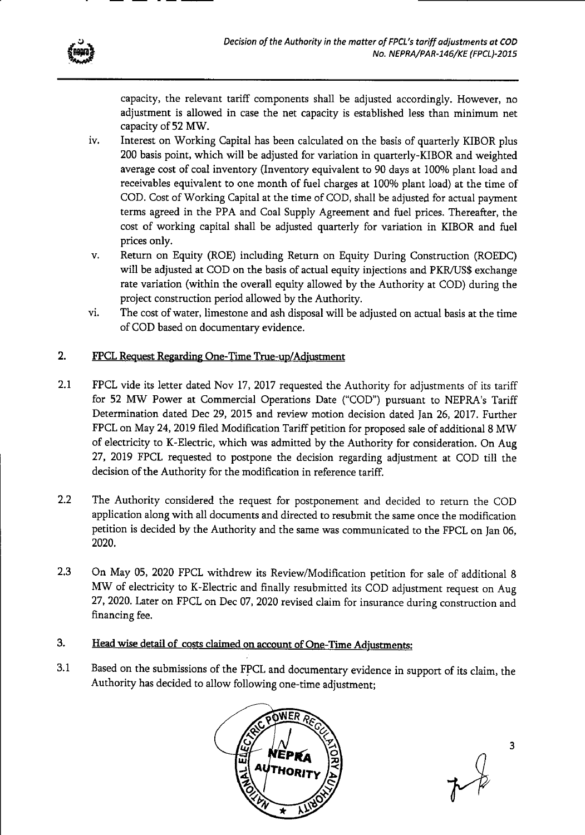

capacity, the relevant tariff components shall be adjusted accordingly. However, no adjustment is allowed in case the net capacity is established less than minimum net capacity of 52 MW.

- iv. Interest on Working Capital has been calculated on the basis of quarterly KIBOR plus 200 basis point, which will be adjusted for variation in quarterly-KIBOR and weighted average cost of coal inventory (Inventory equivalent to 90 days at 100% plant load and receivables equivalent to one month of fuel charges at 100% plant load) at the time of COD. Cost of Working Capital at the time of COD, shall be adjusted for actual payment terms agreed in the PPA and Coal Supply Agreement and fuel prices. Thereafter, the cost of working capital shall be adjusted quarterly for variation in KIBOR and fuel prices only.
- v. Return on Equity (ROE) including Return on Equity During Construction (ROEDC) will be adjusted at COD on the basis of actual equity injections and PKR/US\$ exchange rate variation (within the overall equity allowed by the Authority at COD) during the project construction period allowed by the Authority.
- vi. The cost of water, limestone and ash disposal will be adjusted on actual basis at the time of COD based on documentary evidence.

# 2. FPCL Request Regarding One-Time True-up/Adjustment

- 2.1 FPCL vide its letter dated Nov 17, 2017 requested the Authority for adjustments of its tariff for 52 MW Power at Commercial Operations Date ("COD") pursuant to NEPRA's Tariff Determination dated Dec 29, 2015 and review motion decision dated Jan 26, 2017. Further FPCL on May 24, 2019 filed Modification Tariff petition for proposed sale of additional 8 MW of electricity to K-Electric, which was admitted by the Authority for consideration. On Aug 27, 2019 FPCL requested to postpone the decision regarding adjustment at COD till the decision of the Authority for the modification in reference tariff.
- 2.2 The Authority considered the request for postponement and decided to return the COD application along with all documents and directed to resubmit the same once the modification petition is decided by the Authority and the same was communicated to the FPCL on Jan 06, 2020.
- 2.3 On May 05, 2020 FPCL withdrew its Review/Modification petition for sale of additional 8 MW of electricity to K-Electric and finally resubmitted its COD adjustment request on Aug 27, 2020. Later on FPCL on Dec 07, 2020 revised claim for insurance during construction and financing fee.
- 3. Head wise detail of costs claimed on account of One-Time Adjustments:
- 3.1 Based on the submissions of the FPCL and documentary evidence in support of its claim, the Authority has decided to allow following one-time adjustment;

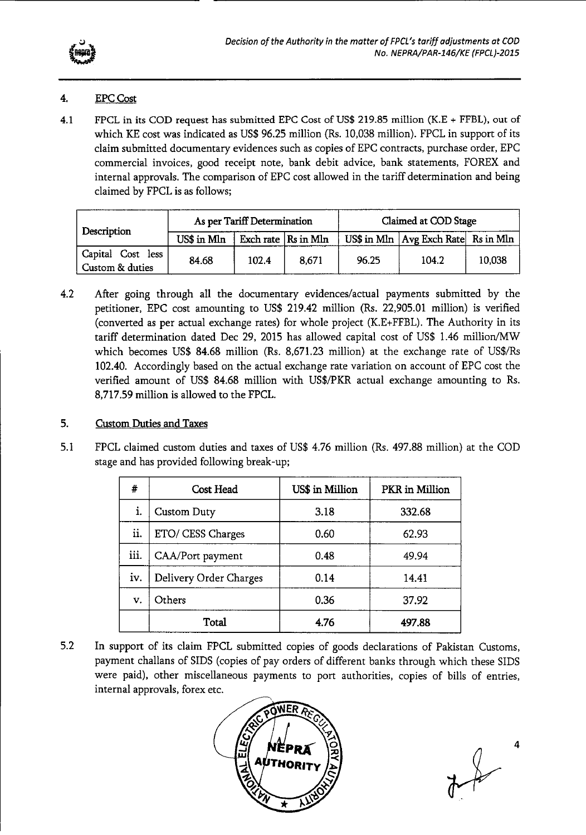

# 4. EPC Cost

4.1 FPCL in its COD request has submitted EPC Cost of US\$ 219.85 million (K.E + FFBL), out of which KE cost was indicated as US\$ 96.25 million (Rs. 10,038 million). FPCL in support of its claim submitted documentary evidences such as copies of EPC contracts, purchase order, EPC commercial invoices, good receipt note, bank debit advice, bank statements, FOREX and internal approvals. The comparison of EPC cost allowed in the tariff determination and being claimed by FPCL is as follows;

| Description                          | As per Tariff Determination |                             |       | Claimed at COD Stage |                                            |        |
|--------------------------------------|-----------------------------|-----------------------------|-------|----------------------|--------------------------------------------|--------|
|                                      | US\$ in Mln                 | Exch rate $\vert$ Rs in Mln |       |                      | US\$ in Mln $ Avg$ Exch Rate $ $ Rs in Mln |        |
| Capital Cost less<br>Custom & duties | 84.68                       | 102.4                       | 8,671 | 96.25                | 104.2                                      | 10,038 |

4.2 After going through all the documentary evidences/actual payments submitted by the petitioner, EPC cost amounting to US\$ 219.42 million (Rs. 22,905.01 million) is verified (converted as per actual exchange rates) for whole project (K.E+FFBL), The Authority in its tariff determination dated Dec 29, 2015 has allowed capital cost of US\$ 1.46 million/MW which becomes US\$ 84.68 million (Rs. 8,671.23 million) at the exchange rate of US\$/Rs 102.40. Accordingly based on the actual exchange rate variation on account of EPC cost the verified amount of US\$ 84.68 million with US\$/PKR actual exchange amounting to Rs. 8,717.59 million is allowed to the FPCL.

### 5. Custom Duties and Taxes

5.1 FPCL claimed custom duties and taxes of US\$ 4.76 million (Rs. 497.88 million) at the COD stage and has provided following break-up;

| #    | Cost Head              | US\$ in Million | PKR in Million |
|------|------------------------|-----------------|----------------|
| i.   | <b>Custom Duty</b>     | 3.18            | 332.68         |
| ii.  | ETO/ CESS Charges      | 0.60            | 62.93          |
| iii. | CAA/Port payment       | 0.48            | 49.94          |
| iv.  | Delivery Order Charges | 0.14            | 14.41          |
| v.   | Others                 | 0.36            | 37.92          |
|      | Total                  | 4.76            | 497.88         |

5.2 In support of its claim FPCL submitted copies of goods declarations of Pakistan Customs, payment challans of SIDS (copies of pay orders of different banks through which these SIDS were paid), other miscellaneous payments to port authorities, copies of bills of entries, internal approvals, forex etc.

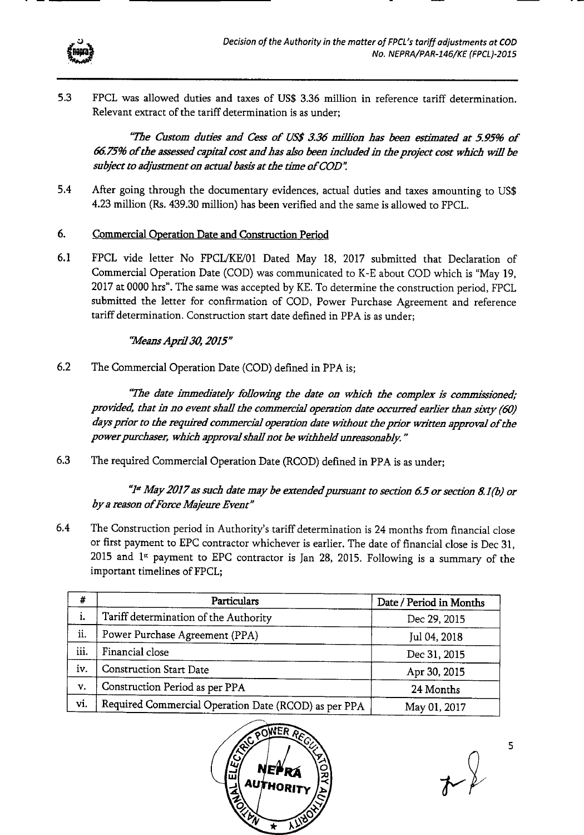

5.3 FPCL was allowed duties and taxes of US\$ 3.36 million in reference tariff determination. Relevant extract of the tariff determination is as under;

*"The Custom duties and Cess of US\$ 3.36 million has been estimated at 5.95% of 66.75% of the assessed capital cost and has also been indudedin the project cost which will be subject to adjustment on actual basis at the time of COD'* 

5.4 After going through the documentary evidences, actual duties and taxes amounting to US\$ 4.23 million (Rs. 439.30 million) has been verified and the same is allowed to FPCL.

#### 6. Commercial Operation Date and Construction Period

6.1 FPCL vide letter No FPCLIKE/01 Dated May 18, 2017 submitted that Declaration of Commercial Operation Date (COD) was communicated to K-E about COD which is "May 19, 2017 at 0000 hrs". The same was accepted by KE. To determine the construction period, FPCL submitted the letter for confirmation of COD, Power Purchase Agreement and reference tariff determination. Construction start date defined in PPA is as under;

# *"Mea.zis April 30, 2015"*

6.2 The Commercial Operation Date (COD) defined in PPA is;

*"The date immediately following the date on which the complex is commissioned; provided, that in no event shall the commercial operation date occurred earlier than sixty (60) days prior to the required commercial operation date without the prior written approval of the*  power purchaser, which approval shall not be withheld unreasonably."

6.3 The required Commercial Operation Date (RCOD) defined in PPA is as under;

*"P May 2017 as such date may be extendedpursuant to section 6.5 or section 8.1(b) or*  by a reason of Force Majeure Event"

6.4 The Construction period in Authority's tariff determination is 24 months from financial close or first payment to EPC contractor whichever is earlier. The date of financial close is Dec 31,  $2015$  and  $1<sup>st</sup>$  payment to EPC contractor is Jan 28, 2015. Following is a summary of the important timelines of FPCL;

| #    | <b>Particulars</b>                                   | Date / Period in Months |
|------|------------------------------------------------------|-------------------------|
| i.   | Tariff determination of the Authority                | Dec 29, 2015            |
| ii.  | Power Purchase Agreement (PPA)                       | Jul 04, 2018            |
| iii. | Financial close                                      | Dec 31, 2015            |
| iv.  | <b>Construction Start Date</b>                       | Apr 30, 2015            |
| V.   | Construction Period as per PPA                       | 24 Months               |
| vi.  | Required Commercial Operation Date (RCOD) as per PPA | May 01, 2017            |



 $\sim 2$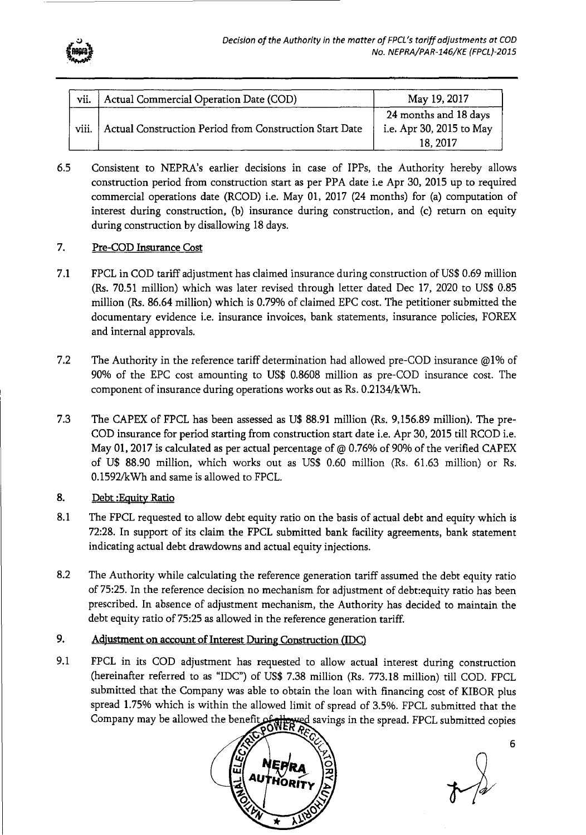

| vii.  | Actual Commercial Operation Date (COD)                  | May 19, 2017                                      |
|-------|---------------------------------------------------------|---------------------------------------------------|
| viii. | Actual Construction Period from Construction Start Date | 24 months and 18 days<br>i.e. Apr 30, 2015 to May |
|       |                                                         | 18, 2017                                          |

6.5 Consistent to NEPRA's earlier decisions in case of IPPs, the Authority hereby allows construction period from construction start as per PPA date i.e Apr 30, 2015 up to required commercial operations date (RCOD) i.e. May 01, 2017 (24 months) for (a) computation of interest during construction, (b) insurance during construction, and (c) return on equity during construction by disallowing 18 days.

#### 7. Pre-COD Insurance Cost

- 7.1 FPCL in COD tariff adjustment has claimed insurance during construction of US\$ 0.69 million (Rs. 70.51 million) which was later revised through letter dated Dec 17, 2020 to US\$ 0.85 million (Rs. 86.64 million) which is 0.79% of claimed EPC cost. The petitioner submitted the documentary evidence i.e. insurance invoices, bank statements, insurance policies, FOREX and internal approvals.
- 7.2 The Authority in the reference tariff determination had allowed pre-COD insurance @1% of 90% of the EPC cost amounting to US\$ 0.8608 million as pre-COD insurance cost. The component of insurance during operations works out as Rs. 0.2134/kWh.
- 7.3 The CAPEX of FPCL has been assessed as U\$ 88.91 million (Rs. 9,156.89 million). The pre-COD insurance for period starting from construction start date i.e. Apr 30, 2015 till RCOD i.e. May 01, 2017 is calculated as per actual percentage of @ 0.76% of 90% of the verified CAPEX of U\$ 88.90 million, which works out as US\$ 0,60 million (Rs. 61.63 million) or Rs. 0.1592/kWh and same is allowed to FPCL.

#### 8. Debt :Equity Ratio

- 8.1 The FPCL requested to allow debt equity ratio on the basis of actual debt and equity which is 72:28. In support of its claim the FPCL submitted bank facility agreements, bank statement indicating actual debt drawdowns and actual equity injections.
- 8.2 The Authority while calculating the reference generation tariff assumed the debt equity ratio of 75:25. In the reference decision no mechanism for adjustment of debt:equity ratio has been prescribed. In absence of adjustment mechanism, the Authority has decided to maintain the debt equity ratio of 75:25 as allowed in the reference generation tariff.

#### 9. Adjustment on account of Interest During Construction (IDC)

9.1 FPCL in its COD adjustment has requested to allow actual interest during construction (hereinafter referred to as "IDC") of US\$ 7.38 million (Rs. 773.18 million) till COD. FPCL submitted that the Company was able to obtain the loan with financing cost of KIBOR plus spread 1.75% which is within the allowed limit of spread of 3.5%. FPCL submitted that the Company may be allowed the benefit of the wed savings in the spread. FPCL submitted copies

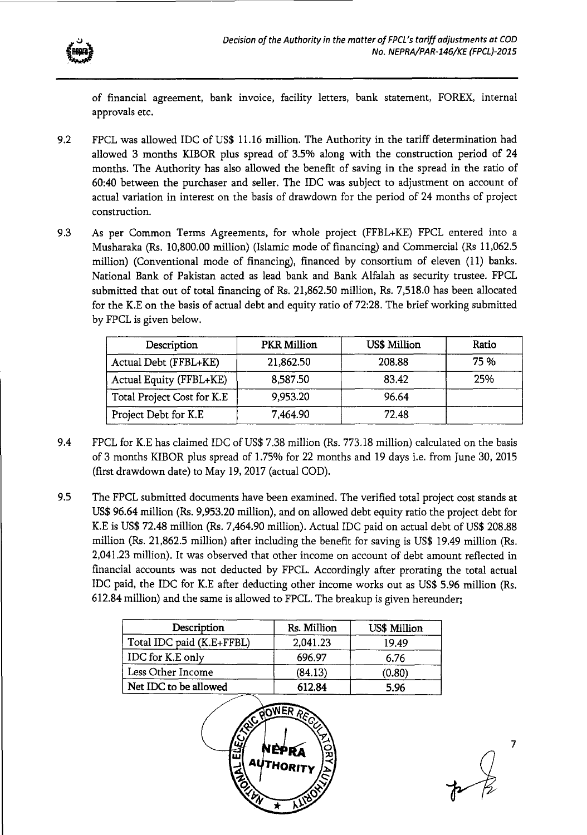

of financial agreement, bank invoice, facility letters, bank statement, FOREX, internal approvals etc.

- 9.2 FPCL was allowed IDC of US\$ 11.16 million. The Authority in the tariff determination had allowed 3 months KIBOR plus spread of 3.5% along with the construction period of 24 months. The Authority has also allowed the benefit of saving in the spread in the ratio of 60:40 between the purchaser and seller. The IDC was subject to adjustment on account of actual variation in interest on the basis of drawdown for the period of 24 months of project construction.
- 9.3 As per Common Terms Agreements, for whole project (FFBL+KE) FPCL entered into a Musharaka (Rs. 10,800.00 million) (Islamic mode of financing) and Commercial (Rs 11,062.5 million) (Conventional mode of financing), financed by consortium of eleven (11) banks. National Bank of Pakistan acted as lead bank and Bank Alfalah as security trustee. FPCL submitted that out of total financing of Rs. 21,862.50 million, Rs. 7,518.0 has been allocated for the K.E on the basis of actual debt and equity ratio of 72:28. The brief working submitted by FPCL is given below.

| Description                | <b>PKR Million</b> | <b>US\$ Million</b> | Ratio |
|----------------------------|--------------------|---------------------|-------|
| Actual Debt (FFBL+KE)      | 21,862.50          | 208.88              | 75 %  |
| Actual Equity (FFBL+KE)    | 8,587.50           | 83.42               | 25%   |
| Total Project Cost for K.E | 9,953.20           | 96.64               |       |
| Project Debt for K.E       | 7,464.90           | 72.48               |       |

- 9.4 FPCL for K.E has claimed IDC of US\$ 7.38 million (Rs. 773.18 million) calculated on the basis of 3 months KIBOR plus spread of 1.75% for 22 months and 19 days i.e. from June 30, 2015 (first drawdown date) to May 19, 2017 (actual COD).
- 9.5 The FPCL submitted documents have been examined. The verified total project cost stands at US\$ 96.64 million (Rs. 9,953.20 million), and on allowed debt equity ratio the project debt for K.E is US\$ 72.48 million (Rs. 7,464.90 million). Actual IDC paid on actual debt of US\$ 208.88 million (Rs. 21,862.5 million) after including the benefit for saving is US\$ 19.49 million (Rs. 2,041.23 million). It was observed that other income on account of debt amount reflected in financial accounts was not deducted by FPCL. Accordingly after prorating the total actual IDC paid, the IDC for K.E after deducting other income works out as US\$ 5.96 million (Rs. 612.84 million) and the same is allowed to FPCL. The breakup is given hereunder;

| Description               | Rs. Million | <b>US\$ Million</b> |
|---------------------------|-------------|---------------------|
| Total IDC paid (K.E+FFBL) | 2,041.23    | 19.49               |
| IDC for K.E only          | 696.97      | 6.76                |
| Less Other Income         | (84.13)     | (0.80)              |
| Net IDC to be allowed     | 612.84      | 5.96                |

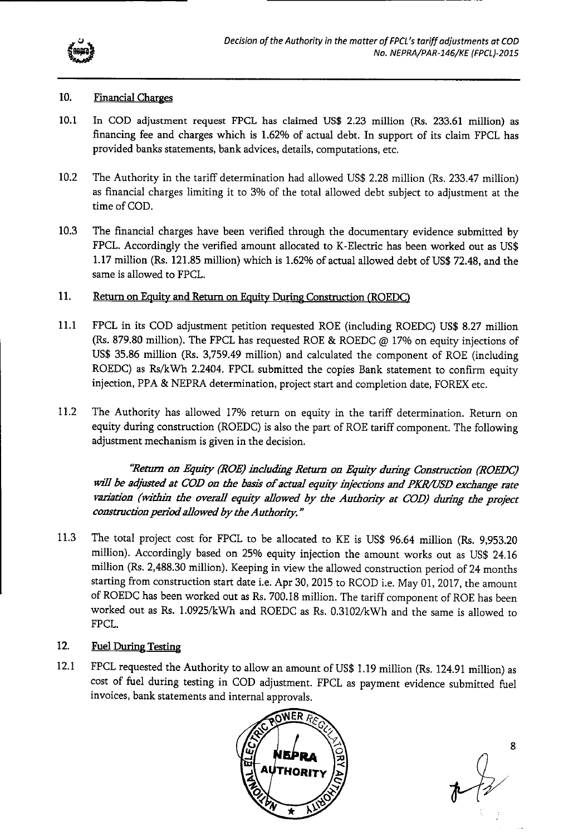

#### 10. Financial Charges

- 10.1 In COD adjustment request FPCL has claimed US\$ 2.23 million (Rs. 233.61 million) as financing fee and charges which is 1.62% of actual debt. In support of its claim FPCL has provided banks statements, bank advices, details, computations, etc.
- 10.2 The Authority in the tariff determination had allowed US\$ 2.28 million (Rs. 233.47 million) as financial charges limiting it to 3% of the total allowed debt subject to adjustment at the time of COD.
- 10.3 The financial charges have been verified through the documentary evidence submitted by FPCL. Accordingly the verified amount allocated to K-Electric has been worked out as US\$ 1.17 million (Rs. 121.85 million) which is 1.62% of actual allowed debt of US\$ 72.48, and the same is allowed to FPCL.

# 11. Return on Equity and Return on Equity During Construction (ROEDC)

- 11.1 FPCL in its COD adjustment petition requested ROE (including ROEDC) US\$ 8.27 million (Rs. 879.80 million). The FPCL has requested ROE & ROEDC @ 17% on equity injections of US\$ 35.86 million (Rs. 3,759.49 million) and calculated the component of ROE (including ROEDC) as Rs/kWh 2.2404. FPCL submitted the copies Bank statement to confirm equity injection, PPA & NEPRA determination, project start and completion date, FOREX etc.
- 11.2 The Authority has allowed 17% return on equity in the tariff determination. Return on equity during construction (ROEDC) is also the part of ROE tariff component. The following adjustment mechanism is given in the decision.

"Return on Equity (ROE) including Return on Equity during Construction (ROEDC) *will be adjusted at COD on the basis of actual equity injections and PICR/USD erchange rate vaziation (within the overall equity allowed by the Authority at COD) during the project construction peziod allowed by the Authority."* 

11.3 The total project cost for FPCL to be allocated to KE is US\$ 96.64 million (Rs. 9,953.20 million). Accordingly based on 25% equity injection the amount works out as US\$ 24.16 million (Rs. 2,488.30 million). Keeping in view the allowed construction period of 24 months starting from construction start date i.e. Apr 30, 2015 to RCOD i.e. May 01, 2017, the amount of ROEDC has been worked out as Rs. 700.18 million. The tariff component of ROE has been worked out as Rs. 1.0925/kWh and ROEDC as Rs. 0.3102/kWh and the same is allowed to FPCL.

# 12. Fuel During Testing

12.1 FPCL requested the Authority to allow an amount of US\$ 1.19 million (Rs. 124.91 million) as cost of fuel during testing in COD adjustment. FPCL as payment evidence submitted fuel invoices, bank statements and internal approvals.



8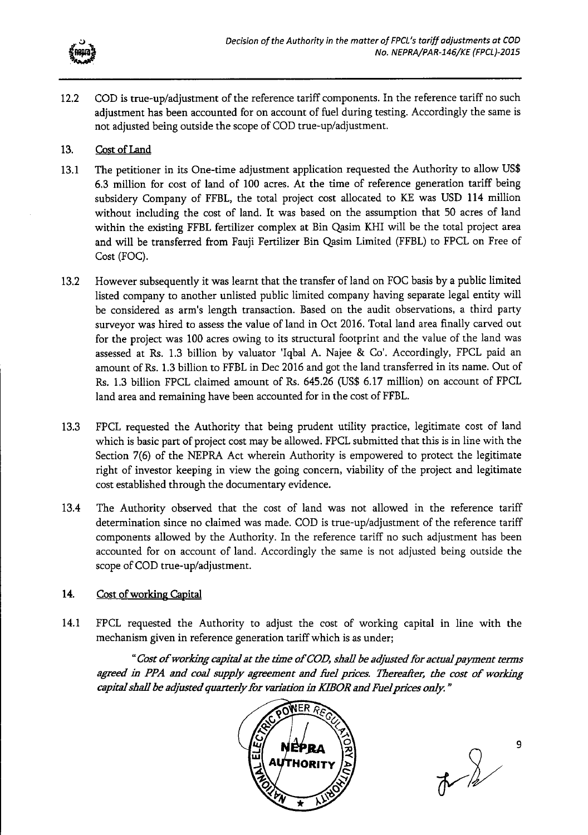

12.2 COD is true-up/adjustment of the reference *tariff* components. In the reference tariff no such adjustment has been accounted for on account of fuel during testing. Accordingly the same is not adjusted being outside the scope of COD true-up/adjustment.

#### 13. Cost of Land

- 13.1 The petitioner in its One-time adjustment application requested the Authority to allow US\$ 6.3 million for cost of land of 100 acres. At the time of reference generation tariff being subsidery Company of FFBL, the total project cost allocated to KE was USD 114 million without including the cost of land. It was based on the assumption that 50 acres of land within the existing FFBL fertilizer complex at Bin Qasim KHI will be the total project area and will be transferred from Fauji Fertilizer Bin Qasim Limited (FFBL) to FPCL on Free of Cost (FOC).
- 13.2 However subsequently it was learnt that the transfer of land on FOC basis by a public limited listed company to another unlisted public limited company having separate legal entity will be considered as arm's length transaction. Based on the audit observations, a third party surveyor was hired to assess the value of land in Oct 2016. Total land area finally carved out for the project was 100 acres owing to its structural footprint and the value of the land was assessed at Rs. 1.3 billion by valuator 'Iqbal A. Najee & Co'. Accordingly, FPCL paid an amount of Rs. 1.3 billion to FFBL in Dec 2016 and got the land transferred in its name. Out of Rs. 1.3 billion FPCL claimed amount of Rs. 645.26 (US\$ 6.17 million) on account of FPCL land area and remaining have been accounted for in the cost of FFBL.
- 13.3 FPCL requested the Authority that being prudent utility practice, legitimate cost of land which is basic part of project cost may be allowed. FPCL submitted that this is in line with the Section 7(6) of the NEPRA Act wherein Authority is empowered to protect the legitimate right of investor keeping in view the going concern, viability of the project and legitimate cost established through the documentary evidence.
- 13.4 The Authority observed that the cost of land was not allowed in the reference tariff determination since no claimed was made. COD is true-up/adjustment of the reference tariff components allowed by the Authority. In the reference tariff no such adjustment has been accounted for on account of land. Accordingly the same is not adjusted being outside the scope of COD true-up/adjustment.

#### 14. Cost of working Capital

14.1 FPCL requested the Authority to adjust the cost of working capital in line with the mechanism given in reference generation tariff which is as under;

*"Cost of working capita] at the thne of COD, shall be adjusted for actualpaym ent terms*  agreed in PPA and coal supply agreement and fuel prices. Thereafter, the cost of working *capita/shall be adjw'ted quarterly for variation in KIBOR and Fuelprices only."* 



 $\frac{1}{2}$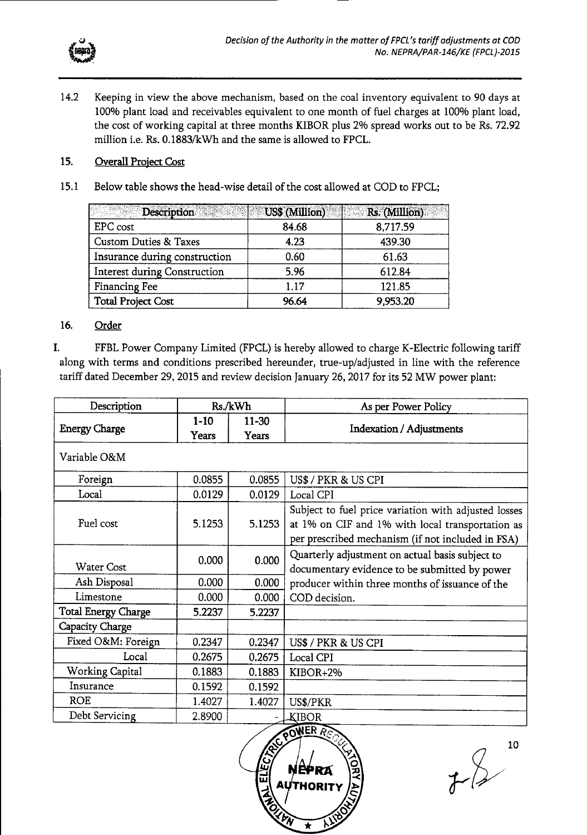

14.2 Keeping in view the above mechanism, based on the coal inventory equivalent to 90 days at 100% plant load and receivables equivalent to one month of fuel charges at 100% plant load, the cost of working capital at three months KIBOR plus 2% spread works out to be Rs. 72.92 million i.e. Rs. 0.1883/kWh and the same is allowed to FPCL.

#### 15. Overall Project Cost

15.1 Below table shows the head-wise detail of the cost allowed at COD to FPCL;

| Description                         | US\$ (Million) | Rs. (Million) |
|-------------------------------------|----------------|---------------|
| EPC cost                            | 84.68          | 8,717.59      |
| <b>Custom Duties &amp; Taxes</b>    | 4.23           | 439.30        |
| Insurance during construction       | 0.60           | 61.63         |
| <b>Interest during Construction</b> | 5.96           | 612.84        |
| Financing Fee                       | 1.17           | 121.85        |
| <b>Total Project Cost</b>           | 96.64          | 9,953.20      |

#### 16. Order

I. FFBL Power Company Limited (FPCL) is hereby allowed to charge K-Electric following tariff along with terms and conditions prescribed hereunder, true-up/adjusted in line with the reference tariff dated December 29, 2015 and review decision January 26, 2017 for its 52 MW power plant:

| Description                |                 | Rs./kWh            | As per Power Policy                                                                                                                                           |
|----------------------------|-----------------|--------------------|---------------------------------------------------------------------------------------------------------------------------------------------------------------|
| <b>Energy Charge</b>       | $1-10$<br>Years | $11 - 30$<br>Years | <b>Indexation / Adjustments</b>                                                                                                                               |
| Variable O&M               |                 |                    |                                                                                                                                                               |
| Foreign                    | 0.0855          | 0.0855             | US\$ / PKR & US CPI                                                                                                                                           |
| Local                      | 0.0129          | 0.0129             | Local CPI                                                                                                                                                     |
| Fuel cost                  | 5.1253          | 5.1253             | Subject to fuel price variation with adjusted losses<br>at 1% on CIF and 1% with local transportation as<br>per prescribed mechanism (if not included in FSA) |
| <b>Water Cost</b>          | 0.000           | 0.000              | Quarterly adjustment on actual basis subject to<br>documentary evidence to be submitted by power                                                              |
| Ash Disposal               | 0.000           | 0.000              | producer within three months of issuance of the                                                                                                               |
| Limestone                  | 0.000           | 0.000              | COD decision.                                                                                                                                                 |
| <b>Total Energy Charge</b> | 5.2237          | 5.2237             |                                                                                                                                                               |
| Capacity Charge            |                 |                    |                                                                                                                                                               |
| Fixed O&M: Foreign         | 0.2347          | 0.2347             | US\$ / PKR & US CPI                                                                                                                                           |
| Local                      | 0.2675          | 0.2675             | Local CPI                                                                                                                                                     |
| <b>Working Capital</b>     | 0.1883          | 0.1883             | $KIBOR+2%$                                                                                                                                                    |
| Insurance                  | 0.1592          | 0.1592             |                                                                                                                                                               |
| <b>ROE</b>                 | 1.4027          | 1.4027             | US\$/PKR                                                                                                                                                      |
| Debt Servicing             | 2.8900          |                    | KIBOR                                                                                                                                                         |



10  $78$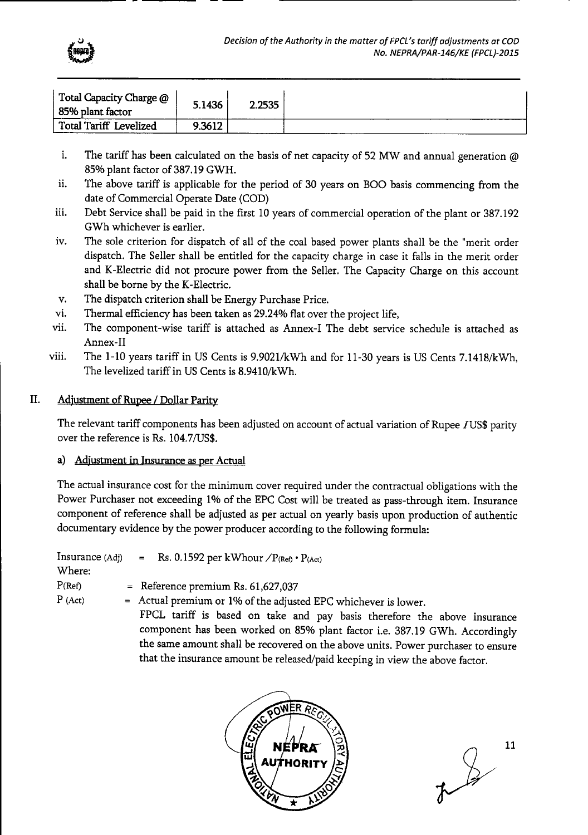

| Total Capacity Charge @<br>85% plant factor | 5.1436 | 2.2535 |  |
|---------------------------------------------|--------|--------|--|
| Total Tariff Levelized                      | 9.3612 |        |  |

- i. The tariff has been calculated on the basis of net capacity of 52 MW and annual generation @ 85% plant factor of 387.19 GWH.
- ii. The above tariff is applicable for the period of 30 years on BOO basis commencing from the date of Commercial Operate Date (COD)
- iii. Debt Service shall be paid in the first 10 years of commercial operation of the plant or 387.192 GWh whichever is earlier.
- iv. The sole criterion for dispatch of all of the coal based power plants shall be the "merit order dispatch. The Seller shall be entitled for the capacity charge in case it falls in the merit order and K-Electric did not procure power from the Seller. The Capacity Charge on this account shall be borne by the K-Electric.
- v. The dispatch criterion shall be Energy Purchase Price.
- vi. Thermal efficiency has been taken as 29.24% flat over the project life,
- vii. The component-wise tariff is attached as Annex-I The debt service schedule is attached as Annex-Il
- viii. The 1-10 years tariff in US Cents is 9.9021/kwh and for 11-30 years is US Cents 7.1418/kWh, The levelized tariff in US Cents is 8,9410/kWh.

# II. Adjustment of Rupee / Dollar Parity

The relevant tariff components has been adjusted on account of actual variation of Rupee IUS\$ parity over the reference is Rs. 104.7/US\$.

# a) Adjustment in Insurance as per Actual

The actual insurance cost for the minimum cover required under the contractual obligations with the Power Purchaser not exceeding 1% of the EPC Cost will be treated as pass-through item. Insurance component of reference shall be adjusted as per actual on yearly basis upon production of authentic documentary evidence by the power producer according to the following formula:

| Insurance (Adj)<br>Where: | = Rs. 0.1592 per kWhour $\angle P_{(Ref)} \cdot P_{(Act)}$                                                                                                                                                                                                                                                                                                                                   |
|---------------------------|----------------------------------------------------------------------------------------------------------------------------------------------------------------------------------------------------------------------------------------------------------------------------------------------------------------------------------------------------------------------------------------------|
| P(Ref)                    | = Reference premium Rs. $61,627,037$                                                                                                                                                                                                                                                                                                                                                         |
| $P$ (Act)                 | = Actual premium or 1% of the adjusted EPC whichever is lower.<br>FPCL tariff is based on take and pay basis therefore the above insurance<br>component has been worked on 85% plant factor i.e. 387.19 GWh. Accordingly<br>the same amount shall be recovered on the above units. Power purchaser to ensure<br>that the insurance amount be released/paid keeping in view the above factor. |



 $\frac{2}{\sqrt{3}}$ 11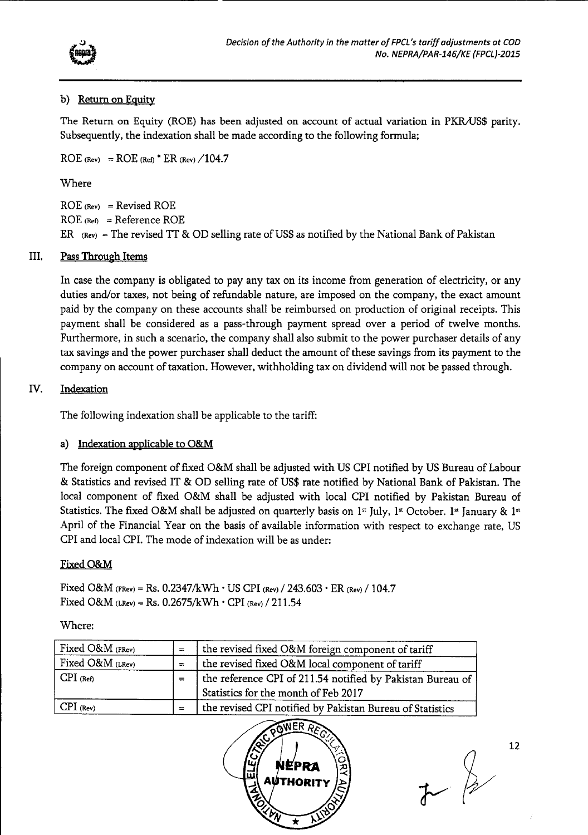

# b) Return on Equity

The Return on Equity (ROE) has been adjusted on account of actual variation in PKRAJS\$ parity. Subsequently, the indexation shall be made according to the following formula;

 $ROE$  (Rev) =  $ROE$  (Ref)<sup>\*</sup>  $ER$  (Rev)  $\angle 104.7$ 

Where

ROE **(Rev)** = Revised ROE  $ROE$  (Ref) = Reference ROE ER  $(Rev)$  = The revised TT & OD selling rate of US\$ as notified by the National Bank of Pakistan

# III. Pass Through Items

In case the company is obligated to pay any tax on its income from generation of electricity, or any duties and/or taxes, not being of refundable nature, are imposed on the company, the exact amount paid by the company on these accounts shall be reimbursed on production of original receipts. This payment shall be considered as a pass-through payment spread over a period of twelve months. Furthermore, in such a scenario, the company shall also submit to the power purchaser details of any tax savings and the power purchaser shall deduct the amount of these savings from its payment to the company on account of taxation. However, withholding tax on dividend will not be passed through.

# *W.* Indexation

The following indexation shall be applicable to the tariff:

# a) Indexation applicable to O&M

The foreign component of fixed O&M shall be adjusted with US CPI notified by US Bureau of Labour & Statistics and revised IT & OD selling rate of US\$ rate notified by National Bank of Pakistan. The local component of fixed O&M shall be adjusted with local CPI notified by Pakistan Bureau of Statistics. The fixed O&M shall be adjusted on quarterly basis on 1st July, 1st October. 1st January & 1st April of the Financial Year on the basis of available information with respect to exchange rate, US CPI and local CPI. The mode of indexation will be as under:

# Fixed O&M

Fixed O&M (FRev) = Rs. 0.2347/kWh  $\cdot$  US CPI (Rev)  $/$  243.603  $\cdot$  ER (Rev)  $/$  104.7 Fixed O&M  $(LRev) = Rs. 0.2675/kWh \cdot CPU (Rev) / 211.54$ 

Where:

| Fixed O&M (FRev) | $=$ | the revised fixed O&M foreign component of tariff          |
|------------------|-----|------------------------------------------------------------|
| Fixed O&M (LRev) |     | the revised fixed O&M local component of tariff            |
| $CPI$ (Ref)      | $=$ | the reference CPI of 211.54 notified by Pakistan Bureau of |
|                  |     | Statistics for the month of Feb 2017                       |
| $CPI$ (Rev)      |     | the revised CPI notified by Pakistan Bureau of Statistics  |



 $\overline{r}$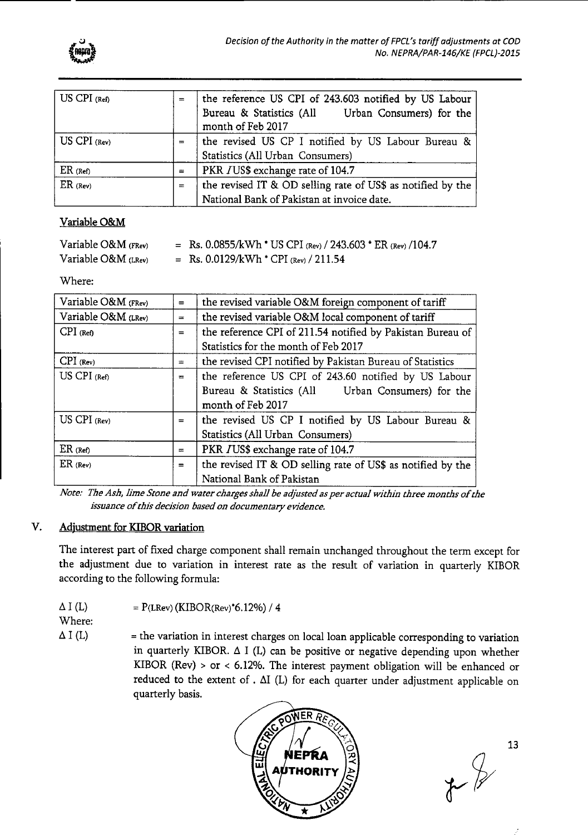

| $US$ CPI $(Ref)$ | $=$      | the reference US CPI of 243.603 notified by US Labour<br>Bureau & Statistics (All Urban Consumers) for the<br>month of Feb 2017 |
|------------------|----------|---------------------------------------------------------------------------------------------------------------------------------|
| $US$ CPI (Rev)   | $=$      | the revised US CP I notified by US Labour Bureau &<br>Statistics (All Urban Consumers)                                          |
| $ER$ (Ref)       | $\equiv$ | PKR JUS\$ exchange rate of 104.7                                                                                                |
| $ER$ (Rev)       | $=$      | the revised IT & OD selling rate of US\$ as notified by the<br>National Bank of Pakistan at invoice date.                       |

# Variable O&M

| Variable $O&M$ (FRev) | = Rs. 0.0855/kWh * US CPI (Rev) / 243.603 * ER (Rev) / 104.7 |
|-----------------------|--------------------------------------------------------------|
| Variable $O&M$ (LRev) | = Rs. $0.0129/kWh$ * CPI (Rev) / 211.54                      |

'Where:

| Variable O&M (FRev)   | $=$ | the revised variable O&M foreign component of tariff        |  |  |  |  |  |  |
|-----------------------|-----|-------------------------------------------------------------|--|--|--|--|--|--|
| Variable $O&M$ (LRev) | $=$ | the revised variable O&M local component of tariff          |  |  |  |  |  |  |
| $CPI$ (Ref)           | $=$ | the reference CPI of 211.54 notified by Pakistan Bureau of  |  |  |  |  |  |  |
|                       |     | Statistics for the month of Feb 2017                        |  |  |  |  |  |  |
| $CPI$ (Rev)           | $=$ | the revised CPI notified by Pakistan Bureau of Statistics   |  |  |  |  |  |  |
| $US$ CPI $(Ref)$      | $=$ | the reference US CPI of 243.60 notified by US Labour        |  |  |  |  |  |  |
|                       |     | Bureau & Statistics (All Urban Consumers) for the           |  |  |  |  |  |  |
|                       |     | month of Feb 2017                                           |  |  |  |  |  |  |
| US CPI (Rev)          | $=$ | the revised US CP I notified by US Labour Bureau &          |  |  |  |  |  |  |
|                       |     | Statistics (All Urban Consumers)                            |  |  |  |  |  |  |
| $ER$ (Ref)            | $=$ | PKR JUS\$ exchange rate of 104.7                            |  |  |  |  |  |  |
| $ER$ (Rev)            | $=$ | the revised IT & OD selling rate of US\$ as notified by the |  |  |  |  |  |  |
|                       |     | National Bank of Pakistan                                   |  |  |  |  |  |  |

*Nate.'* The *Ash, lime Stone and water charges shall be adjusted as per actual within three months of the issuance of this decision based on documentary evidence.* 

# V. Adjustment for KIBOR variation

The interest part of fixed charge component shall remain unchanged throughout the term except for the adjustment due to variation in interest rate as the result of variation in quarterly KIBOR according to the following formula:

| $\Delta$ I (L) | $= P(LRev) (KIBOR(Rev) * 6.12%) / 4$ |
|----------------|--------------------------------------|
|----------------|--------------------------------------|

Where:

 $\Delta$  I (L)  $=$  the variation in interest charges on local loan applicable corresponding to variation in quarterly KIBOR.  $\Delta$  I (L) can be positive or negative depending upon whether KIBOR (Rev) > or < 6.12%. The interest payment obligation will be enhanced or reduced to the extent of .  $\Delta I$  (L) for each quarter under adjustment applicable on quarterly basis.



 $\overline{\mathcal{K}}$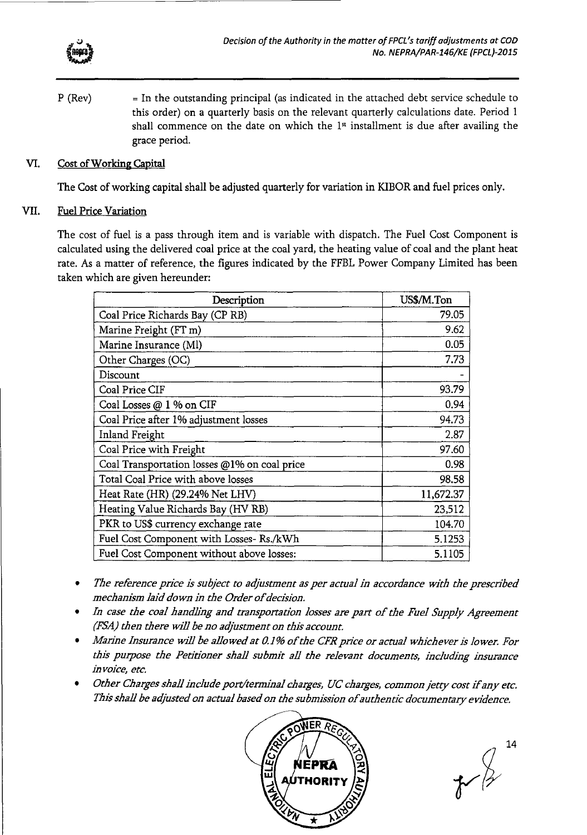

 $P$  (Rev)  $=$  In the outstanding principal (as indicated in the attached debt service schedule to this order) on a quarterly basis on the relevant quarterly calculations date. Period 1 shall commence on the date on which the  $1<sup>st</sup>$  installment is due after availing the grace period.

#### VI. Cost of Working Capital

The Cost of working capital shall be adjusted quarterly for variation in KIBOR and fuel prices only.

#### VII. Fuel Price Variation

The cost of fuel is a pass through item and is variable with dispatch. The Fuel Cost Component is calculated using the delivered coal price at the coal yard, the heating value of coal and the plant heat rate. As a matter of reference, the figures indicated by the FFBL Power Company Limited has been taken which are given hereunder:

| Description                                  | US\$/M.Ton |  |  |  |
|----------------------------------------------|------------|--|--|--|
| Coal Price Richards Bay (CP RB)              | 79.05      |  |  |  |
| Marine Freight (FT m)                        | 9.62       |  |  |  |
| Marine Insurance (Ml)                        | 0.05       |  |  |  |
| Other Charges (OC)                           | 7.73       |  |  |  |
| Discount                                     |            |  |  |  |
| Coal Price CIF                               | 93.79      |  |  |  |
| Coal Losses @ 1 % on CIF                     | 0.94       |  |  |  |
| Coal Price after 1% adjustment losses        | 94.73      |  |  |  |
| Inland Freight                               | 2.87       |  |  |  |
| Coal Price with Freight                      | 97.60      |  |  |  |
| Coal Transportation losses @1% on coal price | 0.98       |  |  |  |
| Total Coal Price with above losses           | 98.58      |  |  |  |
| Heat Rate (HR) (29.24% Net LHV)              | 11,672.37  |  |  |  |
| Heating Value Richards Bay (HV RB)           | 23,512     |  |  |  |
| PKR to US\$ currency exchange rate           | 104.70     |  |  |  |
| Fuel Cost Component with Losses- Rs./kWh     | 5.1253     |  |  |  |
| Fuel Cost Component without above losses:    | 5.1105     |  |  |  |

- *The reference price is subject to adjustment as per actual in accordance with the prescribed*  mechanism laid down in the Order of decision.
- *In case the coal handling and transportation losses are part of the Fuel Supply Agreement (FSA) then there will be no adjustment on this account.*
- *Marine Insurance will be allowed at 0.1% of the CFR price or actual whichever is lower. For this purpose the Petitioner shall submit all the relevant documents, including insurance in voice, etc.*
- *Other Charges shall include port/terminal charges, UC charges, common jetty cost ifany etc.*  This shall be adjusted on actual based on the submission of authentic documentary evidence.

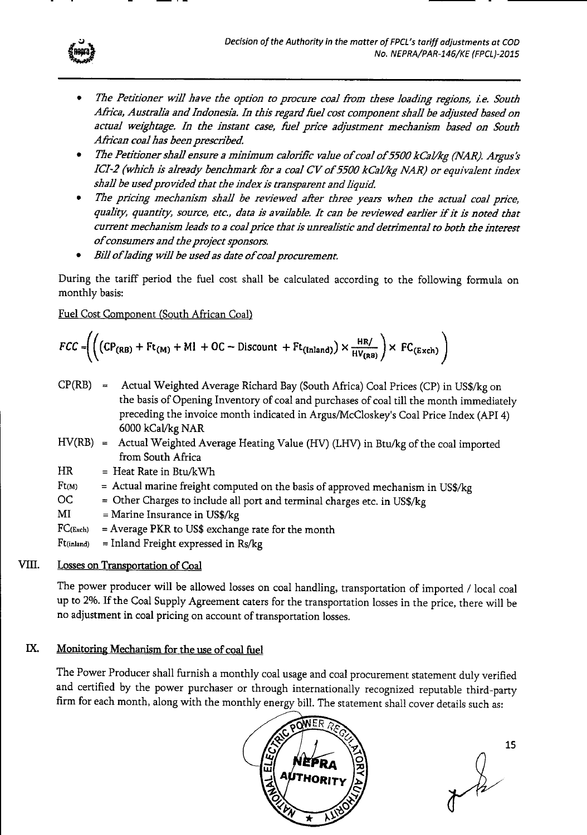

- *The Petitioner will have the option* to *procure coal from these loading regions, L e. South Africa, Australia and Indonesia. In this regard fuel cost component shall be adjusted based on actual weightage. In the instant case, fuel price adjustment mechanism based on South African coal has been prescribed.*
- *The Petitioner shall ensure a minimum calorific value of coal of5500 kCal/kg (NAR). Argus's ICI-2 (which is already benchmark for a coal CV of 5500 kCal/kg NAR) or equivalent index shall be used provided that the index is transparent and liquid*
- *The pricing mechanism shall be reviewed after three years when the actual coal price, quality, quantity, source, etc., data is available. It can be reviewed earlier if it is noted that current mechanism leads* to *a coal price that is unrealistic and detrimental* to *both the interest ofconsumers and the project sponsors.*
- *Bill of lading will be used as date of coal procurement.*

During the tariff period the fuel cost shall be calculated according to the following formula on monthly basis:

Fuel Cost Component (South African Coal)

$$
FCC = \left( \left( \left( \text{CP}_{\text{(RB)}} + \text{Ft}_{(M)} + \text{MI} + \text{OC} - \text{Discount} + \text{Ft}_{(Inland)} \right) \times \frac{\text{HR}}{\text{HV}_{(RB)}} \right) \times \text{FC}_{(Exch)} \right)
$$

- $CP(RB)$  = Actual Weighted Average Richard Bay (South Africa) Coal Prices (CP) in US\$/kg on the basis of Opening Inventory of coal and purchases of coal till the month immediately preceding the invoice month indicated in Argus/McCloskey's Coal Price Index (API 4) 6000 kCaVkg NAR
- $HV(RB) =$  Actual Weighted Average Heating Value (HV) (LHV) in Btu/kg of the coal imported from South Africa
- $HR = Heat Rate in Btu/kWh$
- $Ft(M)$  = Actual marine freight computed on the basis of approved mechanism in US\$/kg
- OC = Other Charges to include all port and terminal charges etc. in US\$/kg
- $MI =$ Marine Insurance in US\$/kg
- $FC$ (Exch) = Average PKR to US\$ exchange rate for the month
- $Ft(ind)$  = Inland Freight expressed in Rs/kg

# VIH. Losses on Transportation of Coal

The power producer will be allowed losses on coal handling, transportation of imported *I* local coal up to 2%. If the Coal Supply Agreement caters for the transportation losses in the price, there will be no adjustment in coal pricing on account of transportation losses.

# IX. Monitoring Mechanism for the use of coal fuel

The Power Producer shall furnish a monthly coal usage and coal procurement statement duly verified and certified by the power purchaser or through internationally recognized reputable third-party firm for each month, along with the monthly energy bill. The statement shall cover details such as:



15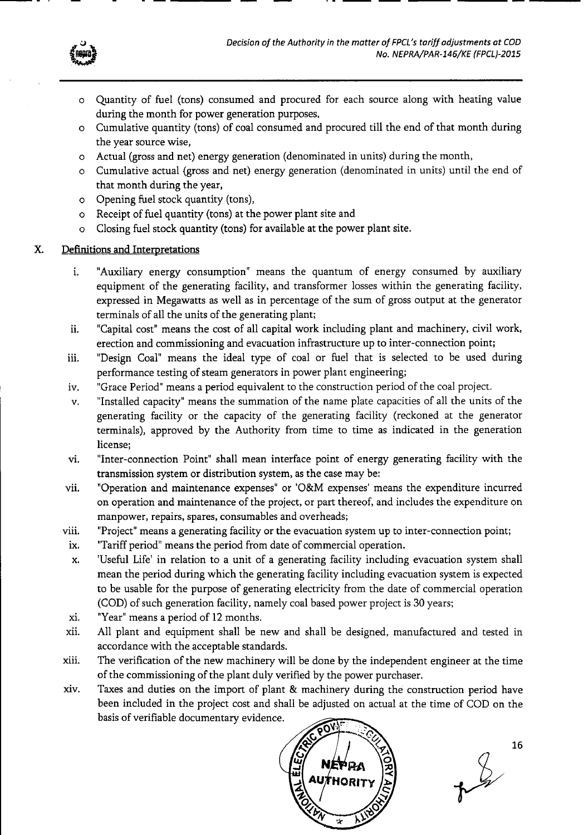

- o Quantity of fuel (tons) consumed and procured for each source along with heating value during the month for power generation purposes,
- o Cumulative quantity (tons) of coal consumed and procured till the end of that month during the year source wise,
- o Actual (gross and net) energy generation (denominated in units) during the month,
- o Cumulative actual (gross and net) energy generation (denominated in units) until the end of that month during the year,
- o Opening fuel stock quantity (tons),
- o Receipt of fuel quantity (tons) at the power plant site and
- o Closing fuel stock quantity (tons) for available at the power plant site.

# X. Definitions and Interpretations

- i. "Auxiliary energy consumption" means the quantum of energy consumed by auxiliary equipment of the generating facility, and transformer losses within the generating facility, expressed in Megawatts as well as in percentage of the sum of gross output at the generator terminals of all the units of the generating plant;
- ii. "Capital cost' means the cost of all capital work including plant and machinery, civil work, erection and commissioning and evacuation infrastructure up to inter-connection point;
- iii. 'Design Coal" means the ideal type of coal or fuel that is selected to be used during performance testing of steam generators in power plant engineering;
- iv. "Grace Period" means a period equivalent to the construction period of the coal project.
- v. "Installed capacity' means the summation of the name plate capacities of all the units of the generating facility or the capacity of the generating facility (reckoned at the generator terminals), approved by the Authority from time to time as indicated in the generation license;
- vi. "Inter-connection Point" shall mean interface point of energy generating facility with the transmission system or distribution system, as the case may be:
- vii. "Operation and maintenance expenses" or 'O&M expenses' means the expenditure incurred on operation and maintenance of the project, or part thereof, and includes the expenditure on manpower, repairs, spares, consumables and overheads;
- viii. 'Project' means a generating facility or the evacuation system up to inter-connection point;
- ix. "Tariff period" means the period from date of commercial operation.
- x. 'Useful Life' in relation to a unit of a generating facility including evacuation system shall mean the period during which the generating facility including evacuation system is expected to be usable for the purpose of generating electricity from the date of commercial operation (COD) of such generation facility, namely coal based power project is 30 years;
- xi. "Year" means a period of 12 months.
- xii. All plant and equipment shall be new and shall be designed, manufactured and tested in accordance with the acceptable standards.
- xiii. The verification of the new machinery will be done by the independent engineer at the time of the commissioning of the plant duly verified by the power purchaser.
- xiv. Taxes and duties on the import of plant & machinery during the construction period have been included in the project cost and shall be adjusted on actual at the time of COD on the basis of verifiable documentary evidence.



 $\frac{2}{3}$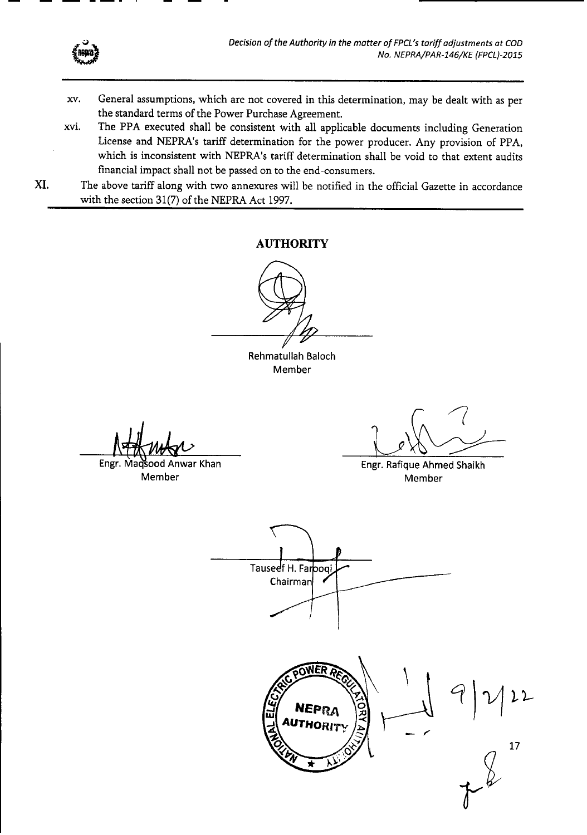

- xv. General assumptions, which are not covered in this determination, may be dealt with as per the standard terms of the Power Purchase Agreement.
- xvi. The PPA executed shall be consistent with all applicable documents including Generation License and NEPRA's tariff determination for the power producer. Any provision of PPA, which is inconsistent with NEPRA's tariff determination shall be void to that extent audits financial impact shall not be passed on to the end-consumers.
- XI. The above tariff along with two annexures will be notified in the official Gazette in accordance with the section 31(7) of the NEPRA Act 1997.

# **AUTHORITY**

Rehmatullah Baloch Member

Engr. Maqsood Anwar Khan Member

Engr. Rafique Ahmed Shaikh Member

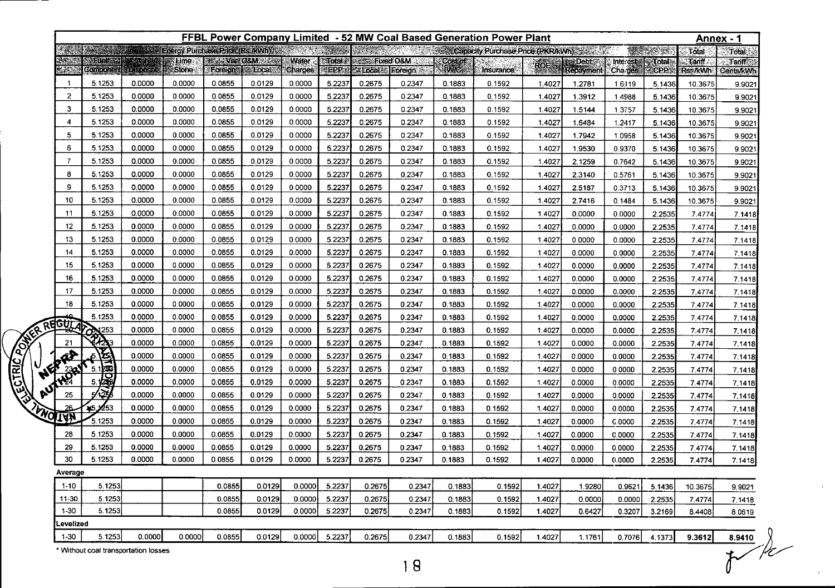|              | FFBL Power Company Limited - 52 MW Coal Based Generation Power Plant |                                           |        |                              |                  |                                                     |                  |                                                         |                                               |        |                       |                                   | Annex - 1 |                                    |                     |                         |                           |                                   |
|--------------|----------------------------------------------------------------------|-------------------------------------------|--------|------------------------------|------------------|-----------------------------------------------------|------------------|---------------------------------------------------------|-----------------------------------------------|--------|-----------------------|-----------------------------------|-----------|------------------------------------|---------------------|-------------------------|---------------------------|-----------------------------------|
|              |                                                                      | Energy Purchase Price (Rs / Wh)<br>en Alb |        |                              |                  |                                                     |                  |                                                         |                                               |        |                       | Capacity Purchase Price (PKR/kWh) |           |                                    |                     | <b>REPORT OF STRAIN</b> | Total                     | Total                             |
|              |                                                                      | Maret<br><b>Component</b>                 | abbres | <b>Elime</b><br><b>Stone</b> | Foreign:         | <b><i>The VariO&amp;M 22760</i></b><br><b>Local</b> | Water<br>Charges | $\sqrt{10}$ dal $\sqrt{2}$<br>$\epsilon$ EPP $\epsilon$ | <b>ExectO&amp;M</b><br><b>ExLocal</b> Foreign |        | Cost of<br><b>MWG</b> | Insurance                         | ROE       | <b>ES Debt</b><br><b>Repayment</b> | Interest<br>Charges | :Total)<br>CPP          | <b>Tariff</b><br>Rs: /kWh | <b>Tariff</b><br><b>Cents/kWh</b> |
|              | -1                                                                   | 5.1253                                    | 0.0000 | 0.0000                       | 0.0855           | 0.0129                                              | 0.0000           | 5.2237                                                  | 0.2675                                        | 0.2347 | 0.1883                | 0.1592                            | 1.4027    | 1.2781                             | 1.6119              | 5.1436                  | 10.3675                   | 9.9021                            |
|              | 2                                                                    | 5.1253                                    | 0.0000 | 0.0000                       | 0.0855           | 0.0129                                              | 0.0000           | 5.2237                                                  | 0.2675                                        | 0.2347 | 0.1883                | 0.1592                            | 1.4027    | 1.3912                             | 1.4988              | 5.1436                  | 10.3675                   | 9.9021                            |
|              | 3                                                                    | 5.1253                                    | 0.0000 | 0.0000                       | 0.0855           | 0.0129                                              | 0.0000           | 5.2237                                                  | 0.2675                                        | 0.2347 | 0.1883                | 0.1592                            | 1.4027    | 1.5144                             | 1.3757              | 5.1436                  | 10.3675                   | 9.902'                            |
|              | 4                                                                    | 5.1253                                    | 0.0000 | 0.0000                       | 0.0855           | 0.0129                                              | 0.0000           | 5.2237                                                  | 0.2675                                        | 0.2347 | 0.1883                | 0.1592                            | 1.4027    | 1.6484                             | 1.2417              | 5.1436                  | 10.3675                   | 9.9021                            |
|              | 5                                                                    | 5.1253                                    | 0.0000 | 0.0000                       | 0.0855           | 0.0129                                              | 0.0000           | 5.2237                                                  | 0.2675                                        | 0.2347 | 0.1883                | 0.1592                            | 1.4027    | 1.7942                             | 1.0958              | 5.1436                  | 10.3675                   | 9.9021                            |
|              | 6                                                                    | 5.1253                                    | 0.0000 | 0.0000                       | 0.0855           | 0.0129                                              | 0.0000           | 5.2237                                                  | 0.2675                                        | 0.2347 | 0.1883                | 0.1592                            | 1.4027    | 1.9530                             | 0.9370              | 5.1436                  | 10.3675                   | 9.9021                            |
|              | 7                                                                    | 5.1253                                    | 0.0000 | 0.0000                       | 0.0855           | 0.0129                                              | 0.0000           | 5.2237                                                  | 0.2675                                        | 0.2347 | 0.1883                | 0.1592                            | 1.4027    | 2.1259                             | 0.7642              | 5.1436                  | 10.3675                   | 9.9021                            |
|              | 8                                                                    | 5.1253                                    | 0.0000 | 0.0000                       | 0.0855           | 0.0129                                              | 0.0000           | 5.2237                                                  | 0.2675                                        | 0.2347 | 0.1883                | 0.1592                            | 1.4027    | 2.3140                             | 0.5761              | 5.1436                  | 10.3675                   | 9.9021                            |
|              | 9                                                                    | 5.1253                                    | 0.0000 | 0.0000                       | 0.0855           | 0.0129                                              | 0.0000           | 5.2237                                                  | 0.2675                                        | 0.2347 | 0.1883                | 0.1592                            | 1.4027    | 2.5187                             | 0.3713              | 5.1436                  | 10.3675                   | 9.9021                            |
|              | 10                                                                   | 5.1253                                    | 0.0000 | 0.0000                       | 0.0855           | 0.0129                                              | 0.0000           | 5.2237                                                  | 0.2675                                        | 0.2347 | 0.1883                | 0.1592                            | 1.4027    | 2.7416                             | 0.1484              | 5.1436                  | 10.3675                   | 9.9021                            |
|              | 11                                                                   | 5.1253                                    | 0.0000 | 0.0000                       | 0.0855           | 0.0129                                              | 0.0000           | 5.2237                                                  | 0.2675                                        | 0.2347 | 0.1883                | 0.1592                            | 1.4027    | 0.0000                             | 0.0000              | 2.2535                  | 7.4774                    | 7.1418                            |
|              | 12                                                                   | 5.1253                                    | 0.0000 | 0.0000                       | 0.0855           | 0.0129                                              | 0.0000           | 5.223                                                   | 0.2675                                        | 0.2347 | 0.1883                | 0.1592                            | 1.4027    | 0.0000                             | 0.0000              | 2.2535                  | 7.4774                    | 7.1418                            |
|              | 13                                                                   | 5.1253                                    | 0.0000 | 0.0000                       | 0.0855           | 0.0129                                              | 0.0000           | 5.2237                                                  | 0.2675                                        | 0.2347 | 0.1883                | 0.1592                            | 1.4027    | 0.0000                             | 0.0000              | 2.2535                  | 7.4774                    | 7.1418                            |
|              | 14                                                                   | 5.1253                                    | 0.0000 | 0.0000                       | 0.0855           | 0.0129                                              | 0.0000           | 5.223                                                   | 0.2675                                        | 0.2347 | 0.1883                | 0.1592                            | 1.4027    | 0.0000                             | 0.0000              | 2.2535                  | 7.4774                    | 7.1418                            |
|              | 15                                                                   | 5.1253                                    | 0.0000 | 0.0000                       | 0.0855           | 0.0129                                              | 0.0000           | 5.2237                                                  | 0.2675                                        | 0.2347 | 0.1883                | 0.1592                            | 1.4027    | 0.0000                             | 0.0000              | 2.2535                  | 7.4774                    | 7.1418                            |
|              | 16                                                                   | 5.1253                                    | 0.0000 | 0.0000                       | 0.0855           | 0.0129                                              | 0.0000           | 5.2237                                                  | 0.2675                                        | 0.2347 | 0.1883                | 0.1592                            | 1.4027    | 0.0000                             | 0.0000              | 2.2535                  | 7.4774                    | 7.1418                            |
|              | 17                                                                   | 5.1253                                    | 0.0000 | 0.0000                       | 0.0855           | 0.0129                                              | 0.0000           | 5.2237                                                  | 0.2675                                        | 0.2347 | 0.1883                | 0.1592                            | 1.4027    | 0.0000                             | 0.0000              | 2.2535                  | 7.4774                    | 7.1418                            |
|              | 18                                                                   | 5.1253                                    | 0.0000 | 0.0000                       | 0.0855           | 0.0129                                              | 0.0000           | 5.2237                                                  | 0.2675                                        | 0.2347 | 0.1883                | 0.1592                            | 1.4027    | 0.0000                             | 0.0000              | 2.2535                  | 7.4774                    | 7.1418                            |
|              | REGUL                                                                | 5.1253                                    | 0.0000 | 0.0000                       | 0.0855           | 0.0129                                              | 0.0000           | 5.2237                                                  | 0.2675                                        | 0.2347 | 0.1883                | 0.1592                            | 1.4027    | 0.0000                             | 0.0000              | 2.2535                  | 7.4774                    | 7.1418                            |
|              |                                                                      | [253                                      | 0.0000 | 0.0000                       | 0.0855           | 0.0129                                              | 0.0000           | 5.2237                                                  | 0.2675                                        | 0.2347 | 0.1883                | 0.1592                            | 1.4027    | 0.0000                             | 0.0000              | 2.2535                  | 7.4774                    | 7.1418                            |
| <b>ASKER</b> | 21                                                                   | Æ.                                        | 0.0000 | 0.0000                       | 0.0855           | 0.0129                                              | 0.0000           | 5.2237                                                  | 0.2675                                        | 0.2347 | 0.1883                | 0.1592                            | 1.4027    | 0.0000                             | 0.0000              | 2.2535                  | 7.4774                    | 7.1418                            |
|              |                                                                      | 图                                         | 0.0000 | 0.0000                       | 0.0855           | 0.0129                                              | 0.0000           | 5.2237                                                  | 0.2675                                        | 0.2347 | 0.1883                | 0.1592                            | 1.4027    | 0.0000                             | 0.0000              | 2.2535                  | 7.4774                    | 7.1418                            |
|              | NERY                                                                 | 5.1253                                    | 0.0000 | 0.0000                       | 0.0855           | 0.0129                                              | 0.0000           | 5.2237                                                  | 0.2675                                        | 0.2347 | 0.1883                | 0.1592                            | 1.4027    | 0.0000                             | 0.0000              | 2.2535                  | 7.4774                    | 7.1418                            |
| $\kappa^{y}$ | $\mathbf{Q}$                                                         | 尮<br>5.                                   | 0.0000 | 0.0000                       | 0.0855           | 0.0129                                              | 0.0000           | 5.2237                                                  | 0.2675                                        | 0.2347 | 0.1883                | 0.1592                            | 1.4027    | 0.0000                             | 0.0000              | 2.2535                  | 7.4774                    | 7.1418                            |
|              | 25                                                                   | $\sqrt{24}$                               | 0.0000 | 0.0000                       | 0.0855           | 0.0129                                              | 0.0000           | 5.2237                                                  | 0.2675                                        | 0.2347 | 0.1883                | 0.1592                            | 1.4027    | 0.0000                             | 0.0000              | 2.2535                  | 7.4774                    | 7.1418                            |
|              | <u>tàh</u>                                                           | ¥5.Y253                                   | 0.0000 | 0.0000                       | 0.0855           | 0.0129                                              | 0.0000           | 5.2237                                                  | 0.2675                                        | 0.2347 | 0.1883                | 0.1592                            | 1.4027    | 0.0000                             | 0.0000              | 2.2535                  | 7.4774                    | 7.1418                            |
|              |                                                                      | 5.1253                                    | 0.0000 | 0.0000                       | 0.0855           | 0.0129                                              | 0.0000           | 5.2237                                                  | 0.2675                                        | 0.2347 | 0.1883                | 0.1592                            | 1.4027    | 0.0000                             | C.0000              | 2.2535                  | 7.4774                    | 7.1418                            |
|              | 28                                                                   | 5.1253                                    | 0.0000 | 0.0000                       | 0.0855           | 0.0129                                              | 0.0000           | 5.2237                                                  | 0.2675                                        | 0.2347 | 0.1883                | 0.1592                            | 1.4027    | 0.0000                             | <b>C.0000</b>       | 2.2535                  | 7.4774                    | 7.1418                            |
|              | 29                                                                   | 5.1253                                    | 0.0000 | 0.0000                       | 0.0855           | 0.0129                                              | 0.0000           | 5.2237                                                  | 0.2675                                        | 0.2347 | 0.1883                | 0.1592                            | 1.4027    | 0.0000                             | 0.0000              | 2.2535                  | 7.4774                    | 7.1418                            |
|              | 30                                                                   | 5.1253                                    | 0.0000 | 0.0000                       | 0.0855           | 0.0129                                              | 0.0000           | 5.2237                                                  | 0.2675                                        | 0.2347 | 0.1883                | 0.1592                            | 1.4027    | 0.0000                             | 0.0000              | 2.2535                  | 7.4774                    | 7.1418                            |
|              | Average                                                              |                                           |        |                              |                  |                                                     |                  |                                                         |                                               |        |                       |                                   |           |                                    |                     |                         |                           |                                   |
|              | $1 - 10$                                                             | 5.1253                                    |        |                              | 0.0855           | 0.0129                                              | 0.0000           | 5.2237                                                  | 0.2675                                        | 0.2347 | 0.1883                | 0.1592                            | 1.4027    | 1.9280                             | 0.9621              | 5.1436                  | 10.3675                   | 9.9021                            |
|              | 11-30<br>$1-30$                                                      | 5.1253<br>5.1253                          |        |                              | 0.0855<br>0.0855 | 0.0129<br>0.0129                                    | 0.0000<br>0.0000 | 5.2237<br>5.2237                                        | 0.2675                                        | 0.2347 | 0.1883                | 0.1592                            | 1.4027    | 0.0000                             | 0.0000              | 2.2535                  | 7.4774                    | 7.1418                            |
|              | Levelized                                                            |                                           |        |                              |                  |                                                     |                  |                                                         | 0.2675                                        | 0.2347 | 0.1883                | 0.1592                            | 1.4027    | 0.6427                             | 0.3207              | 3.2169                  | 8.4408                    | 8.0619                            |
|              | $1 - 30$                                                             | 5.1253                                    | 0.0000 | 0.0000                       | 0.0855           | 0.0129                                              | 0.0000           | 5.2237                                                  | 0.2675                                        | 0.2347 | 0.1883                | 0.1592                            | 1.4027    | 1.1761                             | 0.7076              | 4.1373                  | 9.3612                    | 8.9410                            |
|              |                                                                      |                                           |        |                              |                  |                                                     |                  |                                                         |                                               |        |                       |                                   |           |                                    |                     |                         |                           |                                   |

Without coal transportation losses

 $\mathcal{A}^{(1)}$ 

 $\mathcal{L}$